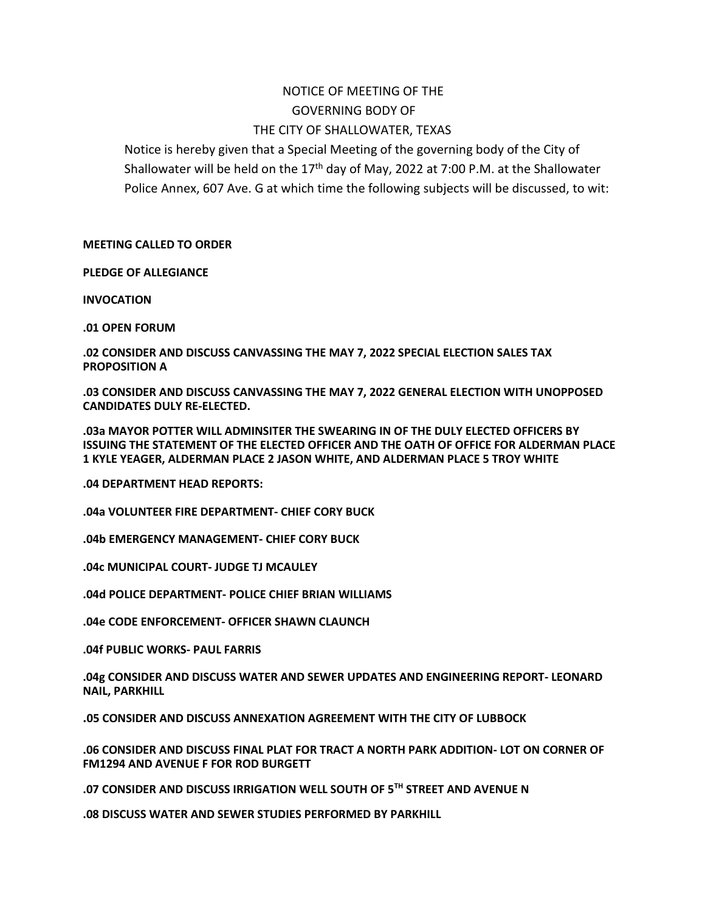# NOTICE OF MEETING OF THE GOVERNING BODY OF THE CITY OF SHALLOWATER, TEXAS

Notice is hereby given that a Special Meeting of the governing body of the City of Shallowater will be held on the 17<sup>th</sup> day of May, 2022 at 7:00 P.M. at the Shallowater Police Annex, 607 Ave. G at which time the following subjects will be discussed, to wit:

**MEETING CALLED TO ORDER**

**PLEDGE OF ALLEGIANCE**

**INVOCATION**

**.01 OPEN FORUM** 

**.02 CONSIDER AND DISCUSS CANVASSING THE MAY 7, 2022 SPECIAL ELECTION SALES TAX PROPOSITION A**

**.03 CONSIDER AND DISCUSS CANVASSING THE MAY 7, 2022 GENERAL ELECTION WITH UNOPPOSED CANDIDATES DULY RE-ELECTED.** 

**.03a MAYOR POTTER WILL ADMINSITER THE SWEARING IN OF THE DULY ELECTED OFFICERS BY ISSUING THE STATEMENT OF THE ELECTED OFFICER AND THE OATH OF OFFICE FOR ALDERMAN PLACE 1 KYLE YEAGER, ALDERMAN PLACE 2 JASON WHITE, AND ALDERMAN PLACE 5 TROY WHITE**

**.04 DEPARTMENT HEAD REPORTS:**

**.04a VOLUNTEER FIRE DEPARTMENT- CHIEF CORY BUCK** 

**.04b EMERGENCY MANAGEMENT- CHIEF CORY BUCK**

**.04c MUNICIPAL COURT- JUDGE TJ MCAULEY**

**.04d POLICE DEPARTMENT- POLICE CHIEF BRIAN WILLIAMS** 

**.04e CODE ENFORCEMENT- OFFICER SHAWN CLAUNCH**

**.04f PUBLIC WORKS- PAUL FARRIS**

**.04g CONSIDER AND DISCUSS WATER AND SEWER UPDATES AND ENGINEERING REPORT- LEONARD NAIL, PARKHILL**

**.05 CONSIDER AND DISCUSS ANNEXATION AGREEMENT WITH THE CITY OF LUBBOCK** 

**.06 CONSIDER AND DISCUSS FINAL PLAT FOR TRACT A NORTH PARK ADDITION- LOT ON CORNER OF FM1294 AND AVENUE F FOR ROD BURGETT** 

**.07 CONSIDER AND DISCUSS IRRIGATION WELL SOUTH OF 5TH STREET AND AVENUE N**

**.08 DISCUSS WATER AND SEWER STUDIES PERFORMED BY PARKHILL**